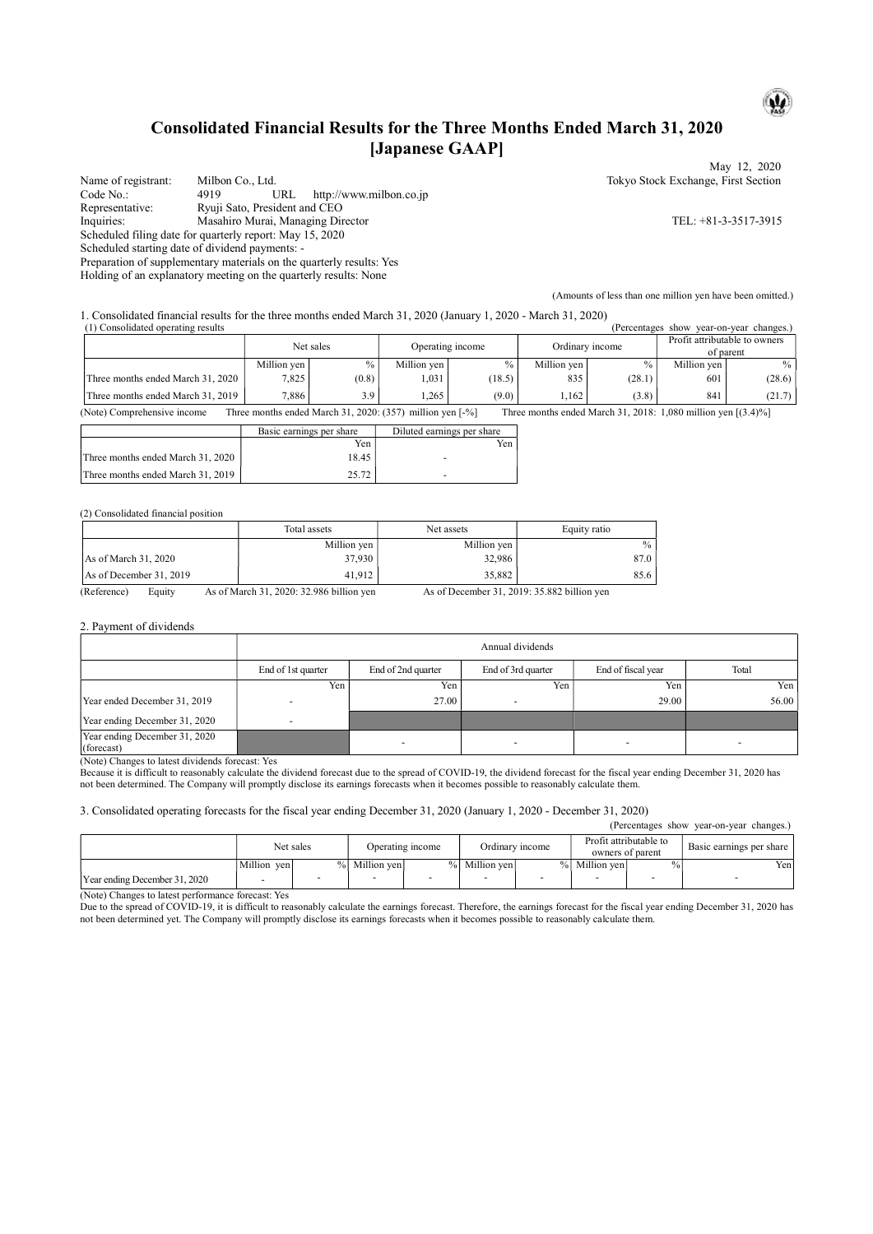## Consolidated Financial Results for the Three Months Ended March 31, 2020 [Japanese GAAP]

Name of registrant: Milbon Co., Ltd. Tokyo Stock Exchange, First Section<br>Code No.: 4919 URL http://www.milbon.co.jp 4919 URL http://www.milbon.co.jp Representative: Ryuji Sato, President and CEO<br>Inquiries: Masahiro Murai, Managing Dir Inquiries: Masahiro Murai, Managing Director TEL: +81-3-3517-3915 Scheduled filing date for quarterly report: May 15, 2020 Scheduled starting date of dividend payments: - Preparation of supplementary materials on the quarterly results: Yes

Holding of an explanatory meeting on the quarterly results: None

May 12, 2020

(Amounts of less than one million yen have been omitted.)

1. Consolidated financial results for the three months ended March 31, 2020 (January 1, 2020 - March 31, 2020)

| (1) Consolidated operating results<br>(Percentages show)<br>year-on-year changes.) |                                   |             |               |                  |                |                 |               |                                            |               |
|------------------------------------------------------------------------------------|-----------------------------------|-------------|---------------|------------------|----------------|-----------------|---------------|--------------------------------------------|---------------|
|                                                                                    |                                   | Net sales   |               | Operating income |                | Ordinary income |               | Profit attributable to owners<br>of parent |               |
|                                                                                    |                                   | Million ven | $\frac{0}{0}$ | Million ven      | $\frac{0}{0}$  | Million yen     | $\frac{0}{0}$ | Million ven                                | $\frac{0}{0}$ |
|                                                                                    | Three months ended March 31, 2020 | 7.825       | (0.8)         | 1,031            | (18.5)         | 835             | (28.1)        | 601                                        | (28.6)        |
|                                                                                    | Three months ended March 31, 2019 | 7.886       | 3.9           | 1.265            | (9.0)          | 1.162           | (3.8)         | 841                                        | (21.7)        |
|                                                                                    | ____<br>$-$                       |             | .             | .                | - - - -<br>$-$ |                 | .             |                                            | --- -- --     |

(Note) Comprehensive income Three months ended March 31, 2020: (357) million yen [-%] Three months ended March 31, 2018: 1,080 million yen [(3.4)%]

|                                   | Basic earnings per share | Diluted earnings per share |
|-----------------------------------|--------------------------|----------------------------|
|                                   | Yen                      | Yen.                       |
| Three months ended March 31, 2020 | 18.45                    |                            |
| Three months ended March 31, 2019 | 25.72                    |                            |

#### (2) Consolidated financial position

|                         | Total assets | Net assets  | Equity ratio |
|-------------------------|--------------|-------------|--------------|
|                         | Million yen  | Million yen | %            |
| As of March 31, 2020    | 37,930       | 32.986      | 87.0         |
| As of December 31, 2019 | 41.912       | 35,882      | 85.6         |

(Reference) Equity As of March 31, 2020: 32.986 billion yen As of December 31, 2019: 35.882 billion yen

#### 2. Payment of dividends

|                                             | Annual dividends   |                    |                    |                    |                          |  |  |
|---------------------------------------------|--------------------|--------------------|--------------------|--------------------|--------------------------|--|--|
|                                             | End of 1st quarter | End of 2nd quarter | End of 3rd quarter | End of fiscal year | Total                    |  |  |
|                                             | Yen                | Yen                | Yen                | Yen,               | Yen                      |  |  |
| Year ended December 31, 2019                |                    | 27.00              |                    | 29.00              | 56.00                    |  |  |
| Year ending December 31, 2020               |                    |                    |                    |                    |                          |  |  |
| Year ending December 31, 2020<br>(forecast) |                    | -                  |                    |                    | $\overline{\phantom{0}}$ |  |  |

(Note) Changes to latest dividends forecast: Yes

Because it is difficult to reasonably calculate the dividend forecast due to the spread of COVID-19, the dividend forecast for the fiscal year ending December 31, 2020 has not been determined. The Company will promptly disclose its earnings forecasts when it becomes possible to reasonably calculate them.

### 3. Consolidated operating forecasts for the fiscal year ending December 31, 2020 (January 1, 2020 - December 31, 2020)

| (Percentages show year-on-year changes.) |             |           |                  |  |                                                               |  |                          |               |      |
|------------------------------------------|-------------|-----------|------------------|--|---------------------------------------------------------------|--|--------------------------|---------------|------|
|                                          |             | Net sales | Operating income |  | Profit attributable to<br>Ordinary income<br>owners of parent |  | Basic earnings per share |               |      |
|                                          | Million ven | $\%$      | Million ven      |  | % Million ven                                                 |  | % Million ven            | $\frac{0}{0}$ | Yen. |
| Year ending December 31, 2020            |             |           |                  |  |                                                               |  |                          |               |      |

(Note) Changes to latest performance forecast: Yes

Due to the spread of COVID-19, it is difficult to reasonably calculate the earnings forecast. Therefore, the earnings forecast for the fiscal year ending December 31, 2020 has not been determined yet. The Company will promptly disclose its earnings forecasts when it becomes possible to reasonably calculate them.

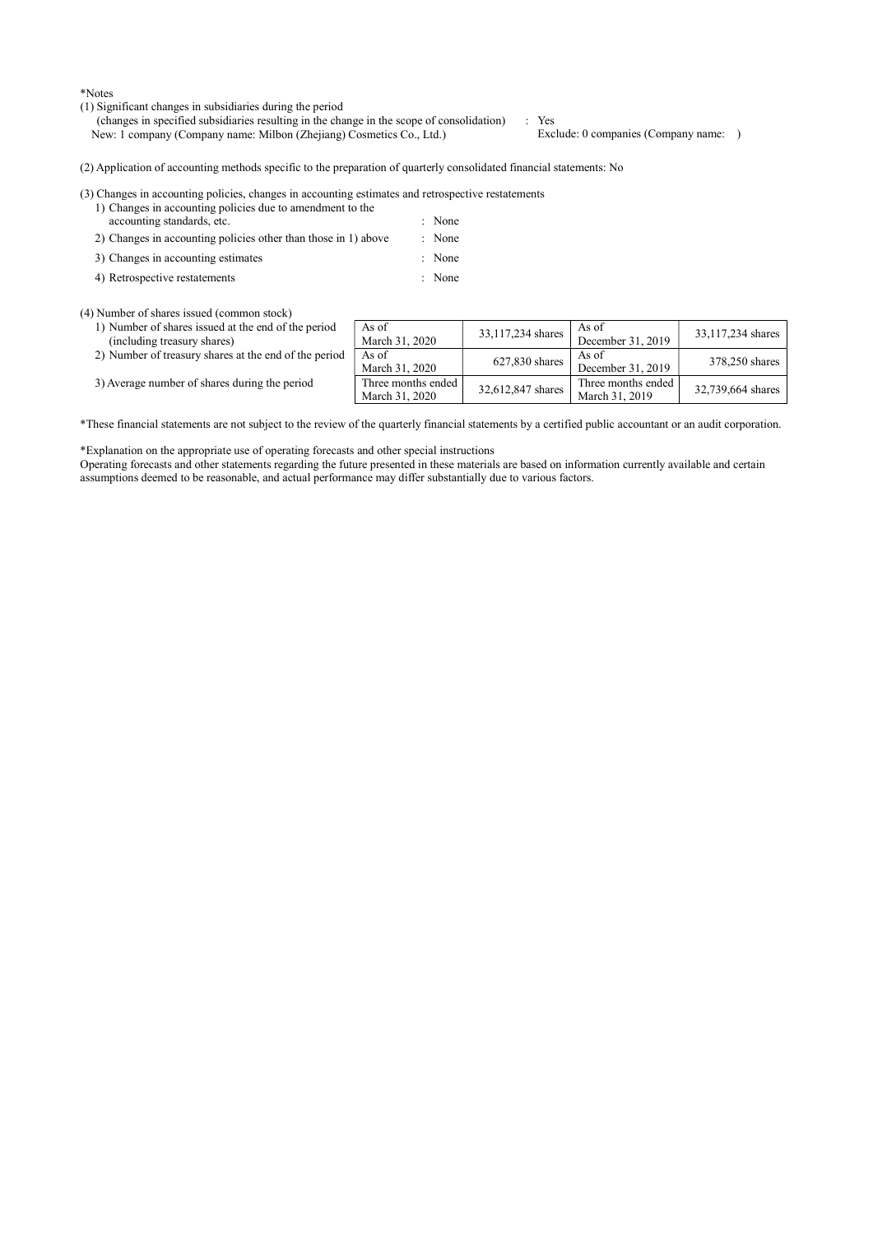\*Notes

- (1) Significant changes in subsidiaries during the period
	- (changes in specified subsidiaries resulting in the change in the scope of consolidation) : Yes<br>New: 1 company (Company name: Milbon (Zhejiang) Cosmetics Co., Ltd.) Exclude: 0 companies (Company name: ) New: 1 company (Company name: Milbon (Zhejiang) Cosmetics Co., Ltd.)

(2) Application of accounting methods specific to the preparation of quarterly consolidated financial statements: No

(3) Changes in accounting policies, changes in accounting estimates and retrospective restatements

- 1) Changes in accounting policies due to amendment to the accounting standards, etc.  $\blacksquare$  : None
- 2) Changes in accounting policies other than those in 1) above : None
- 3) Changes in accounting estimates : None
- 4) Retrospective restatements : None

(4) Number of shares issued (common stock)

- 1) Number of shares issued at the end of the period (including treasury shares)
- 2) Number of treasury shares at the end of the peri
- 3) Average number of shares during the period

|    | As of<br>March 31, 2020              | 33,117,234 shares | As of<br>December 31, 2019           | 33,117,234 shares |
|----|--------------------------------------|-------------------|--------------------------------------|-------------------|
| od | As of<br>March 31, 2020              | 627,830 shares    | As of<br>December 31, 2019           | 378,250 shares    |
|    | Three months ended<br>March 31, 2020 | 32,612,847 shares | Three months ended<br>March 31, 2019 | 32,739,664 shares |

\*These financial statements are not subject to the review of the quarterly financial statements by a certified public accountant or an audit corporation.

\*Explanation on the appropriate use of operating forecasts and other special instructions

Operating forecasts and other statements regarding the future presented in these materials are based on information currently available and certain assumptions deemed to be reasonable, and actual performance may differ substantially due to various factors.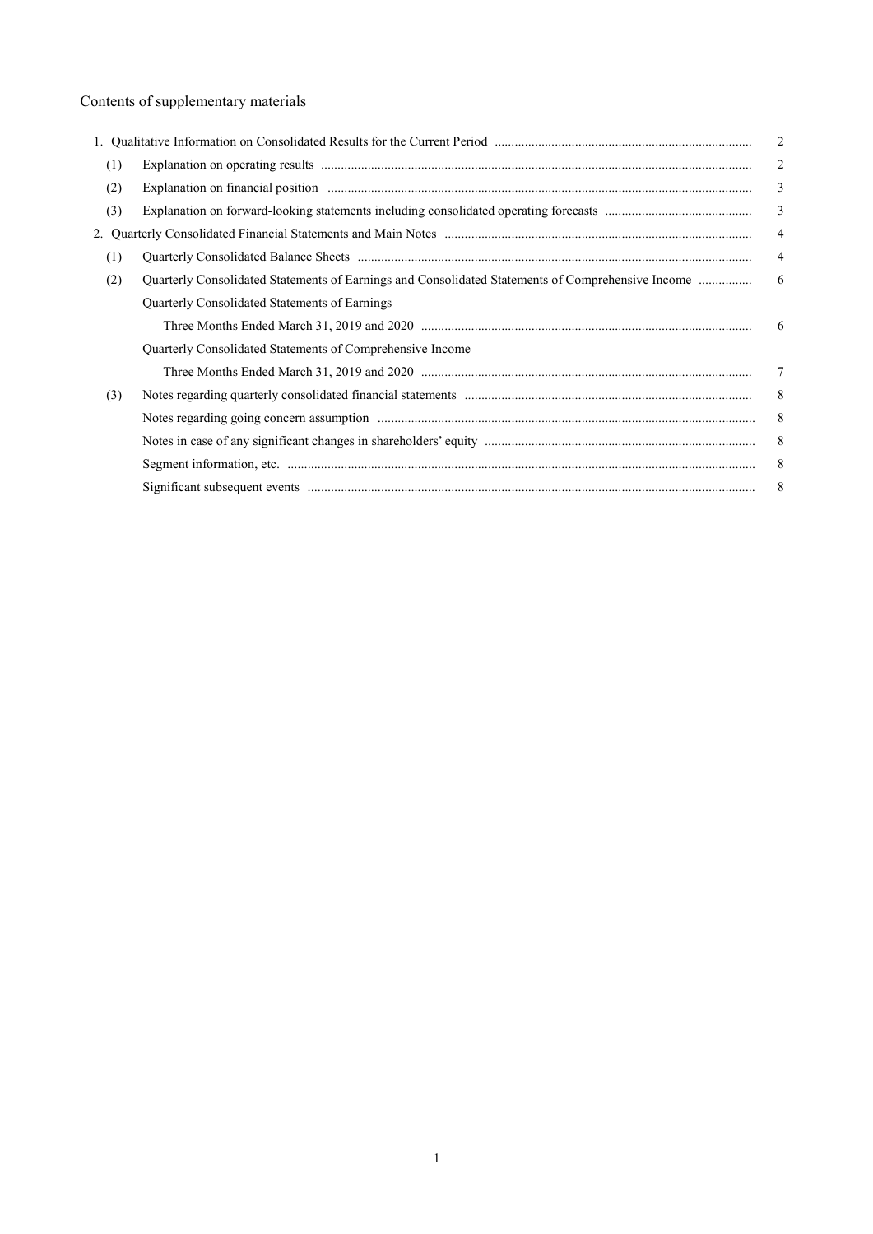# Contents of supplementary materials

|     |                                                                                                   | $\overline{2}$ |
|-----|---------------------------------------------------------------------------------------------------|----------------|
| (1) |                                                                                                   | 2              |
| (2) |                                                                                                   | 3              |
| (3) |                                                                                                   | $\mathfrak{Z}$ |
|     |                                                                                                   | $\overline{4}$ |
| (1) |                                                                                                   | $\overline{4}$ |
| (2) | Quarterly Consolidated Statements of Earnings and Consolidated Statements of Comprehensive Income | 6              |
|     | Quarterly Consolidated Statements of Earnings                                                     |                |
|     |                                                                                                   | 6              |
|     | Quarterly Consolidated Statements of Comprehensive Income                                         |                |
|     |                                                                                                   | 7              |
| (3) |                                                                                                   | 8              |
|     |                                                                                                   | 8              |
|     |                                                                                                   | 8              |
|     |                                                                                                   | 8              |
|     |                                                                                                   | 8              |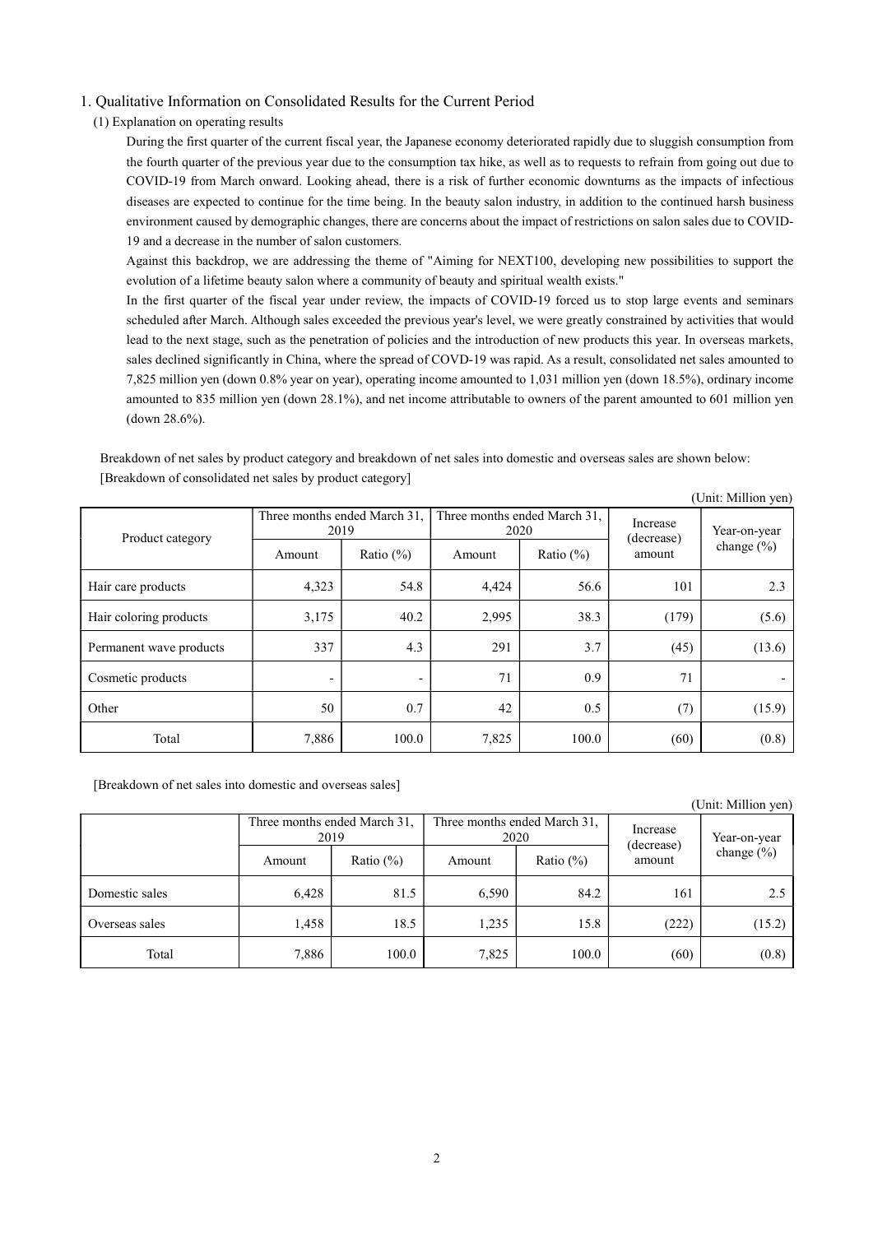## 1. Qualitative Information on Consolidated Results for the Current Period

(1) Explanation on operating results

During the first quarter of the current fiscal year, the Japanese economy deteriorated rapidly due to sluggish consumption from the fourth quarter of the previous year due to the consumption tax hike, as well as to requests to refrain from going out due to COVID-19 from March onward. Looking ahead, there is a risk of further economic downturns as the impacts of infectious diseases are expected to continue for the time being. In the beauty salon industry, in addition to the continued harsh business environment caused by demographic changes, there are concerns about the impact of restrictions on salon sales due to COVID-19 and a decrease in the number of salon customers.

Against this backdrop, we are addressing the theme of "Aiming for NEXT100, developing new possibilities to support the evolution of a lifetime beauty salon where a community of beauty and spiritual wealth exists."

In the first quarter of the fiscal year under review, the impacts of COVID-19 forced us to stop large events and seminars scheduled after March. Although sales exceeded the previous year's level, we were greatly constrained by activities that would lead to the next stage, such as the penetration of policies and the introduction of new products this year. In overseas markets, sales declined significantly in China, where the spread of COVD-19 was rapid. As a result, consolidated net sales amounted to 7,825 million yen (down 0.8% year on year), operating income amounted to 1,031 million yen (down 18.5%), ordinary income amounted to 835 million yen (down 28.1%), and net income attributable to owners of the parent amounted to 601 million yen (down 28.6%).

Breakdown of net sales by product category and breakdown of net sales into domestic and overseas sales are shown below: [Breakdown of consolidated net sales by product category]

|                         |                                      |               |                                      |              |                        | (Unit: Million yen) |
|-------------------------|--------------------------------------|---------------|--------------------------------------|--------------|------------------------|---------------------|
| Product category        | Three months ended March 31,<br>2019 |               | Three months ended March 31,<br>2020 |              | Increase<br>(decrease) | Year-on-year        |
|                         | Amount                               | Ratio $(\% )$ | Amount                               | Ratio $(\%)$ | amount                 | change (%)          |
| Hair care products      | 4,323                                | 54.8          | 4,424                                | 56.6         | 101                    | 2.3                 |
| Hair coloring products  | 3,175                                | 40.2          | 2,995                                | 38.3         | (179)                  | (5.6)               |
| Permanent wave products | 337                                  | 4.3           | 291                                  | 3.7          | (45)                   | (13.6)              |
| Cosmetic products       | $\overline{\phantom{a}}$             | ٠             | 71                                   | 0.9          | 71                     |                     |
| Other                   | 50                                   | 0.7           | 42                                   | 0.5          | (7)                    | (15.9)              |
| Total                   | 7,886                                | 100.0         | 7,825                                | 100.0        | (60)                   | (0.8)               |

[Breakdown of net sales into domestic and overseas sales]

|                |                                      |              |                                      |               |                        | (Unit: Million yen) |
|----------------|--------------------------------------|--------------|--------------------------------------|---------------|------------------------|---------------------|
|                | Three months ended March 31,<br>2019 |              | Three months ended March 31,<br>2020 |               | Increase<br>(decrease) | Year-on-year        |
|                | Amount                               | Ratio $(\%)$ | Amount                               | Ratio $(\% )$ | amount                 | change (%)          |
| Domestic sales | 6,428                                | 81.5         | 6,590                                | 84.2          | 161                    | 2.5                 |
| Overseas sales | 1,458                                | 18.5         | 1,235                                | 15.8          | (222)                  | (15.2)              |
| Total          | 7,886                                | 100.0        | 7,825                                | 100.0         | (60)                   | (0.8)               |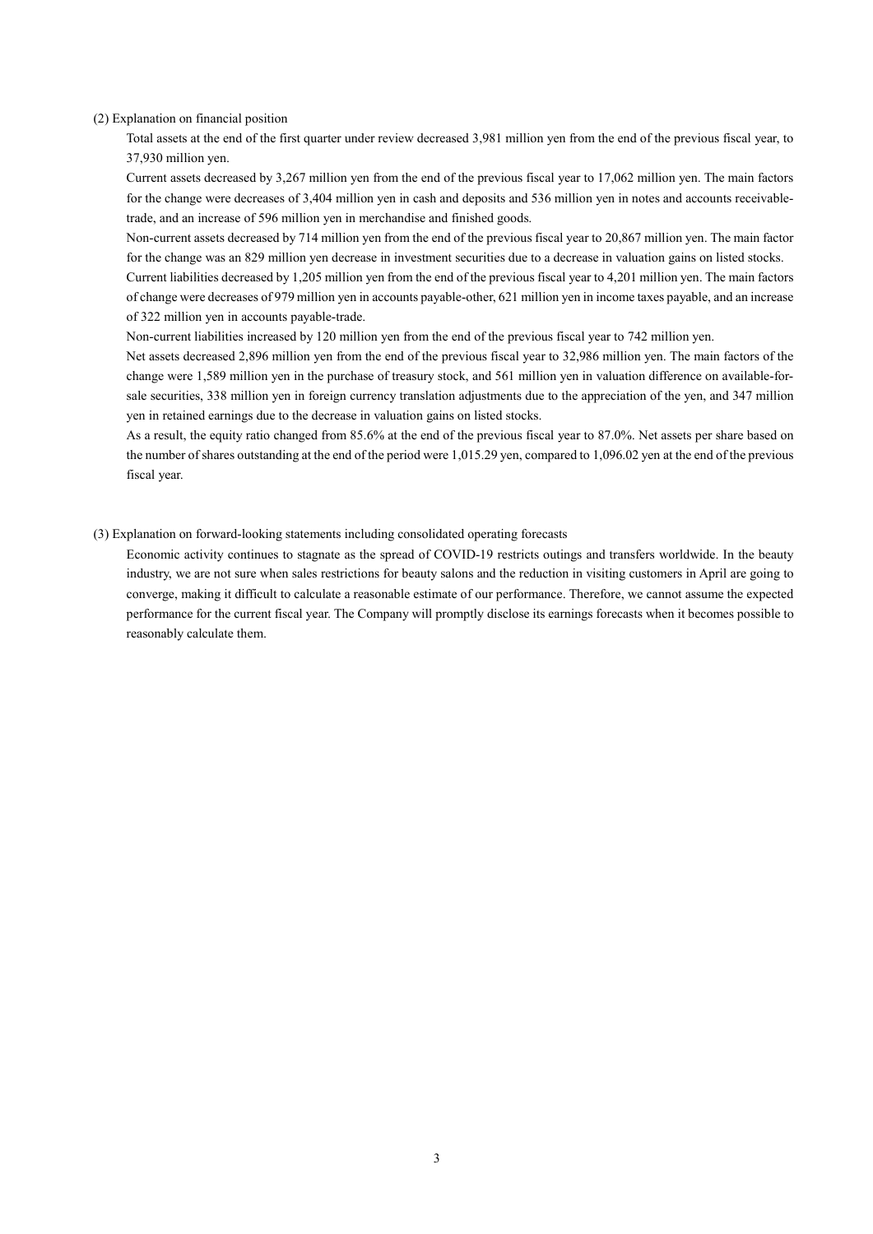(2) Explanation on financial position

Total assets at the end of the first quarter under review decreased 3,981 million yen from the end of the previous fiscal year, to 37,930 million yen.

Current assets decreased by 3,267 million yen from the end of the previous fiscal year to 17,062 million yen. The main factors for the change were decreases of 3,404 million yen in cash and deposits and 536 million yen in notes and accounts receivabletrade, and an increase of 596 million yen in merchandise and finished goods.

Non-current assets decreased by 714 million yen from the end of the previous fiscal year to 20,867 million yen. The main factor for the change was an 829 million yen decrease in investment securities due to a decrease in valuation gains on listed stocks.

Current liabilities decreased by 1,205 million yen from the end of the previous fiscal year to 4,201 million yen. The main factors of change were decreases of 979 million yen in accounts payable-other, 621 million yen in income taxes payable, and an increase of 322 million yen in accounts payable-trade.

Non-current liabilities increased by 120 million yen from the end of the previous fiscal year to 742 million yen.

Net assets decreased 2,896 million yen from the end of the previous fiscal year to 32,986 million yen. The main factors of the change were 1,589 million yen in the purchase of treasury stock, and 561 million yen in valuation difference on available-forsale securities, 338 million yen in foreign currency translation adjustments due to the appreciation of the yen, and 347 million yen in retained earnings due to the decrease in valuation gains on listed stocks.

As a result, the equity ratio changed from 85.6% at the end of the previous fiscal year to 87.0%. Net assets per share based on the number of shares outstanding at the end of the period were 1,015.29 yen, compared to 1,096.02 yen at the end of the previous fiscal year.

(3) Explanation on forward-looking statements including consolidated operating forecasts

Economic activity continues to stagnate as the spread of COVID-19 restricts outings and transfers worldwide. In the beauty industry, we are not sure when sales restrictions for beauty salons and the reduction in visiting customers in April are going to converge, making it difficult to calculate a reasonable estimate of our performance. Therefore, we cannot assume the expected performance for the current fiscal year. The Company will promptly disclose its earnings forecasts when it becomes possible to reasonably calculate them.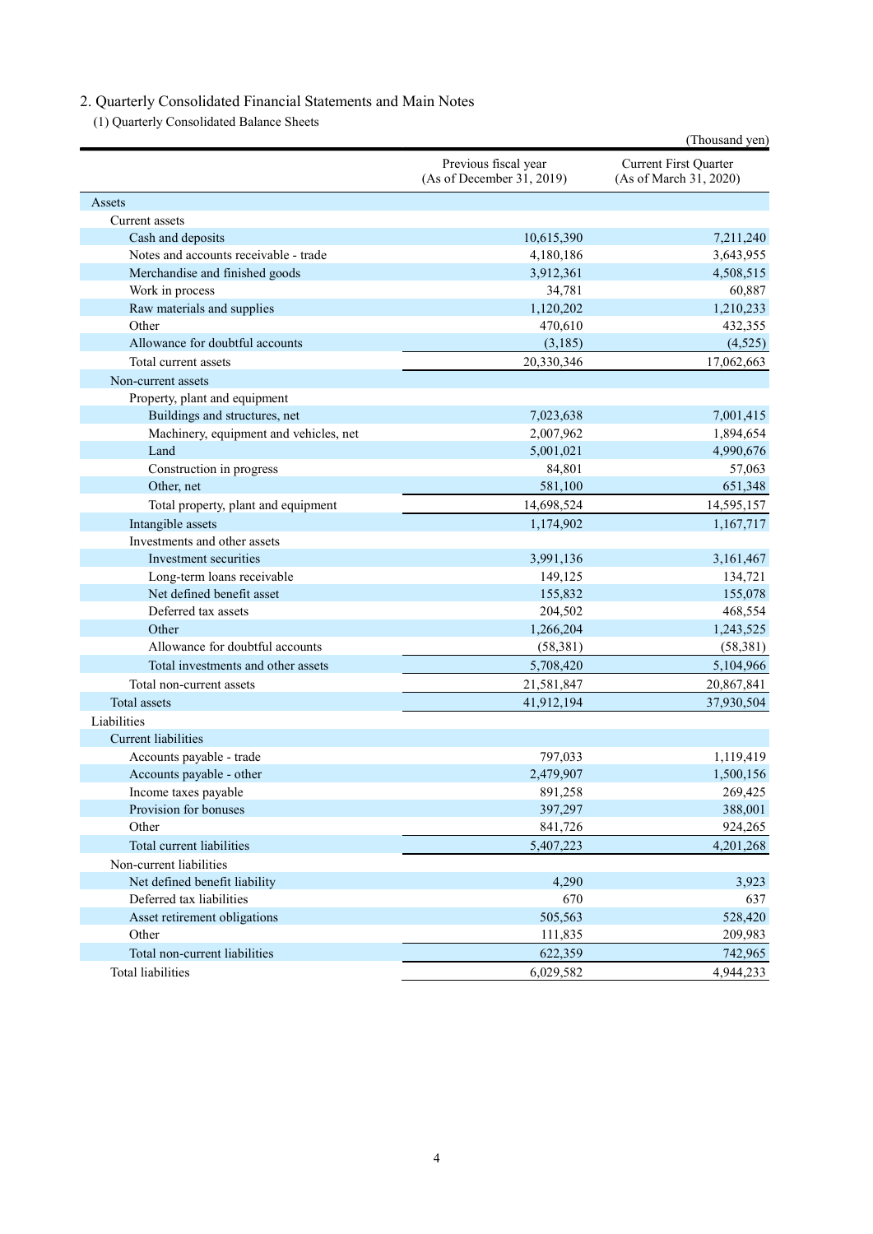# 2. Quarterly Consolidated Financial Statements and Main Notes

(1) Quarterly Consolidated Balance Sheets

|                                        |                                                   | (Thousand yen)                                  |
|----------------------------------------|---------------------------------------------------|-------------------------------------------------|
|                                        | Previous fiscal year<br>(As of December 31, 2019) | Current First Quarter<br>(As of March 31, 2020) |
| Assets                                 |                                                   |                                                 |
| Current assets                         |                                                   |                                                 |
| Cash and deposits                      | 10,615,390                                        | 7,211,240                                       |
| Notes and accounts receivable - trade  | 4,180,186                                         | 3,643,955                                       |
| Merchandise and finished goods         | 3,912,361                                         | 4,508,515                                       |
| Work in process                        | 34,781                                            | 60,887                                          |
| Raw materials and supplies             | 1,120,202                                         | 1,210,233                                       |
| Other                                  | 470,610                                           | 432,355                                         |
| Allowance for doubtful accounts        | (3,185)                                           | (4,525)                                         |
| Total current assets                   | 20,330,346                                        | 17,062,663                                      |
| Non-current assets                     |                                                   |                                                 |
| Property, plant and equipment          |                                                   |                                                 |
| Buildings and structures, net          | 7,023,638                                         | 7,001,415                                       |
| Machinery, equipment and vehicles, net | 2,007,962                                         | 1,894,654                                       |
| Land                                   | 5,001,021                                         | 4,990,676                                       |
| Construction in progress               | 84,801                                            | 57,063                                          |
| Other, net                             | 581,100                                           | 651,348                                         |
| Total property, plant and equipment    | 14,698,524                                        | 14,595,157                                      |
| Intangible assets                      | 1,174,902                                         | 1,167,717                                       |
| Investments and other assets           |                                                   |                                                 |
| Investment securities                  | 3,991,136                                         | 3,161,467                                       |
| Long-term loans receivable             | 149,125                                           | 134,721                                         |
| Net defined benefit asset              | 155,832                                           | 155,078                                         |
| Deferred tax assets                    | 204,502                                           | 468,554                                         |
| Other                                  | 1,266,204                                         | 1,243,525                                       |
| Allowance for doubtful accounts        | (58, 381)                                         | (58, 381)                                       |
| Total investments and other assets     | 5,708,420                                         | 5,104,966                                       |
| Total non-current assets               | 21,581,847                                        | 20,867,841                                      |
| <b>Total</b> assets                    | 41,912,194                                        | 37,930,504                                      |
| Liabilities                            |                                                   |                                                 |
| <b>Current liabilities</b>             |                                                   |                                                 |
| Accounts payable - trade               | 797,033                                           | 1,119,419                                       |
| Accounts payable - other               | 2,479,907                                         | 1,500,156                                       |
| Income taxes payable                   | 891,258                                           | 269,425                                         |
| Provision for bonuses                  | 397,297                                           | 388,001                                         |
| Other                                  | 841,726                                           | 924,265                                         |
| Total current liabilities              | 5,407,223                                         | 4,201,268                                       |
| Non-current liabilities                |                                                   |                                                 |
| Net defined benefit liability          | 4,290                                             | 3,923                                           |
| Deferred tax liabilities               | 670                                               | 637                                             |
| Asset retirement obligations           | 505,563                                           | 528,420                                         |
| Other                                  | 111,835                                           | 209,983                                         |
| Total non-current liabilities          | 622,359                                           | 742,965                                         |
| <b>Total liabilities</b>               | 6,029,582                                         | 4,944,233                                       |
|                                        |                                                   |                                                 |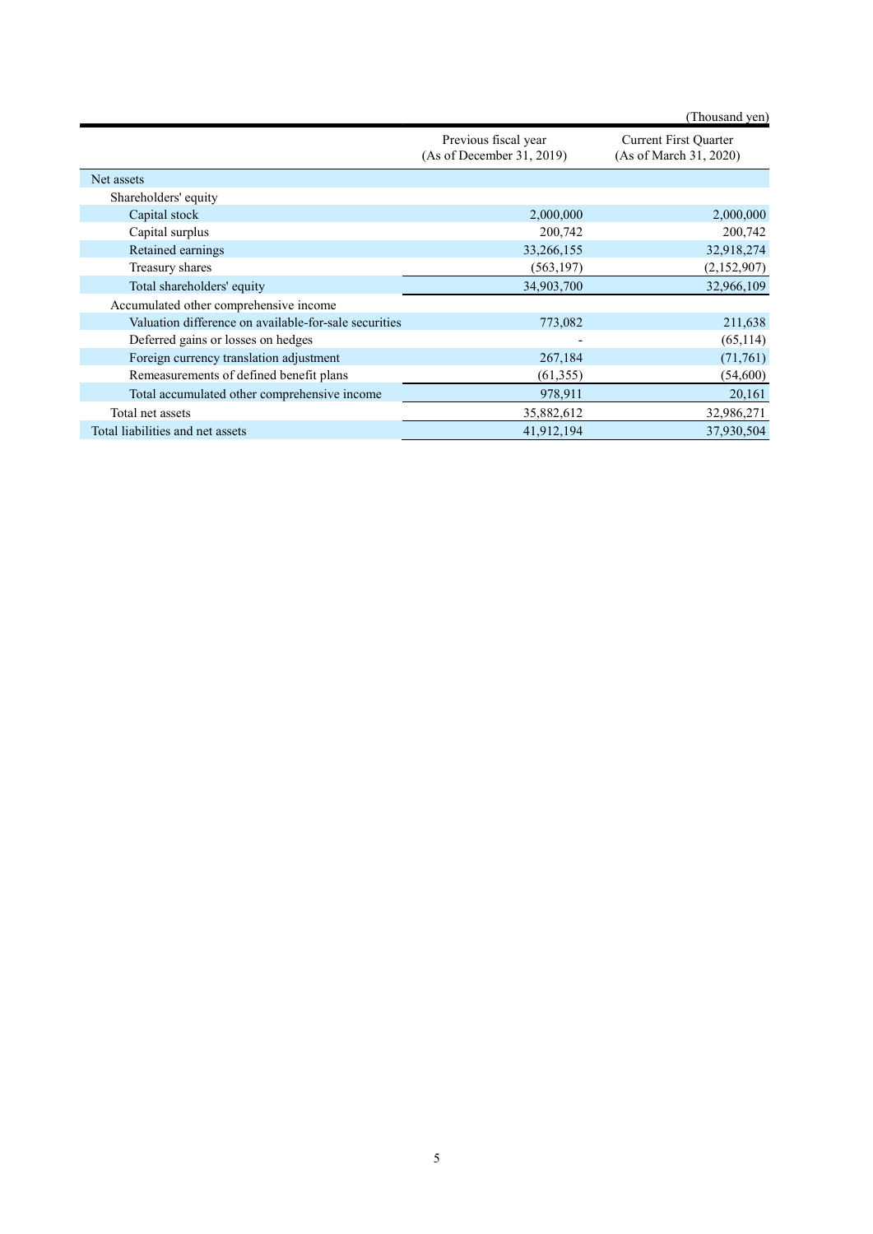|                                                   | (Thousand yen)                                         |
|---------------------------------------------------|--------------------------------------------------------|
| Previous fiscal year<br>(As of December 31, 2019) | <b>Current First Quarter</b><br>(As of March 31, 2020) |
|                                                   |                                                        |
|                                                   |                                                        |
| 2,000,000                                         | 2,000,000                                              |
| 200,742                                           | 200,742                                                |
| 33,266,155                                        | 32,918,274                                             |
| (563, 197)                                        | (2,152,907)                                            |
| 34,903,700                                        | 32,966,109                                             |
|                                                   |                                                        |
| 773,082                                           | 211,638                                                |
|                                                   | (65, 114)                                              |
| 267,184                                           | (71,761)                                               |
| (61,355)                                          | (54, 600)                                              |
| 978,911                                           | 20,161                                                 |
| 35,882,612                                        | 32,986,271                                             |
| 41,912,194                                        | 37,930,504                                             |
|                                                   |                                                        |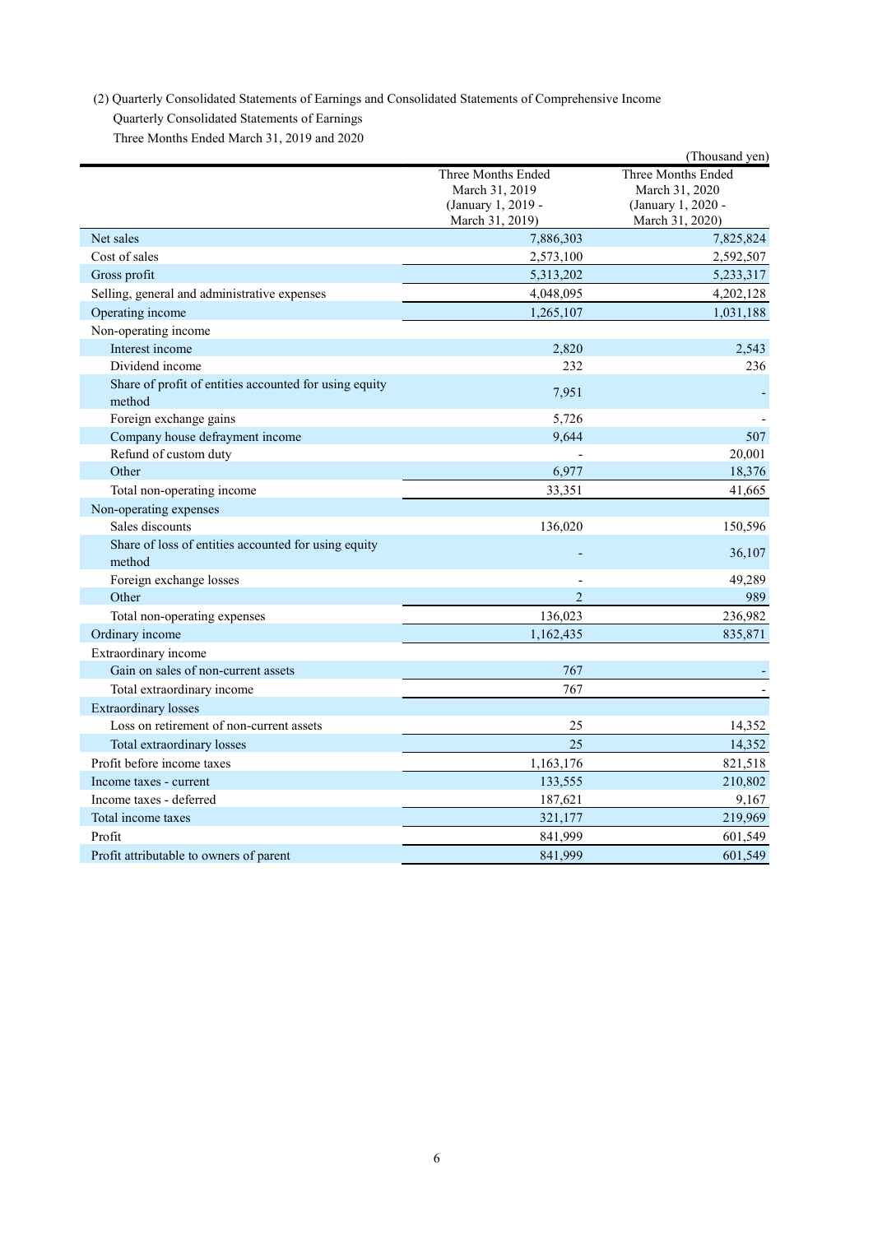(2) Quarterly Consolidated Statements of Earnings and Consolidated Statements of Comprehensive Income

Quarterly Consolidated Statements of Earnings

Three Months Ended March 31, 2019 and 2020

|                                                                  |                                                                               | (Thousand yen)                                                                |
|------------------------------------------------------------------|-------------------------------------------------------------------------------|-------------------------------------------------------------------------------|
|                                                                  | Three Months Ended<br>March 31, 2019<br>(January 1, 2019 -<br>March 31, 2019) | Three Months Ended<br>March 31, 2020<br>(January 1, 2020 -<br>March 31, 2020) |
| Net sales                                                        | 7,886,303                                                                     | 7,825,824                                                                     |
| Cost of sales                                                    | 2,573,100                                                                     | 2,592,507                                                                     |
| Gross profit                                                     | 5,313,202                                                                     | 5,233,317                                                                     |
| Selling, general and administrative expenses                     | 4,048,095                                                                     | 4,202,128                                                                     |
| Operating income                                                 | 1,265,107                                                                     | 1,031,188                                                                     |
| Non-operating income                                             |                                                                               |                                                                               |
| Interest income                                                  | 2,820                                                                         | 2.543                                                                         |
| Dividend income                                                  | 232                                                                           | 236                                                                           |
| Share of profit of entities accounted for using equity<br>method | 7,951                                                                         |                                                                               |
| Foreign exchange gains                                           | 5,726                                                                         |                                                                               |
| Company house defrayment income                                  | 9,644                                                                         | 507                                                                           |
| Refund of custom duty                                            |                                                                               | 20,001                                                                        |
| Other                                                            | 6,977                                                                         | 18,376                                                                        |
| Total non-operating income                                       | 33,351                                                                        | 41,665                                                                        |
| Non-operating expenses                                           |                                                                               |                                                                               |
| Sales discounts                                                  | 136,020                                                                       | 150,596                                                                       |
| Share of loss of entities accounted for using equity<br>method   |                                                                               | 36,107                                                                        |
| Foreign exchange losses                                          |                                                                               | 49,289                                                                        |
| Other                                                            | $\overline{2}$                                                                | 989                                                                           |
| Total non-operating expenses                                     | 136,023                                                                       | 236,982                                                                       |
| Ordinary income                                                  | 1,162,435                                                                     | 835,871                                                                       |
| Extraordinary income                                             |                                                                               |                                                                               |
| Gain on sales of non-current assets                              | 767                                                                           |                                                                               |
| Total extraordinary income                                       | 767                                                                           |                                                                               |
| <b>Extraordinary losses</b>                                      |                                                                               |                                                                               |
| Loss on retirement of non-current assets                         | 25                                                                            | 14,352                                                                        |
| Total extraordinary losses                                       | 25                                                                            | 14,352                                                                        |
| Profit before income taxes                                       | 1,163,176                                                                     | 821,518                                                                       |
| Income taxes - current                                           | 133,555                                                                       | 210,802                                                                       |
| Income taxes - deferred                                          | 187,621                                                                       | 9,167                                                                         |
| Total income taxes                                               | 321,177                                                                       | 219,969                                                                       |
| Profit                                                           | 841,999                                                                       | 601,549                                                                       |
| Profit attributable to owners of parent                          | 841,999                                                                       | 601,549                                                                       |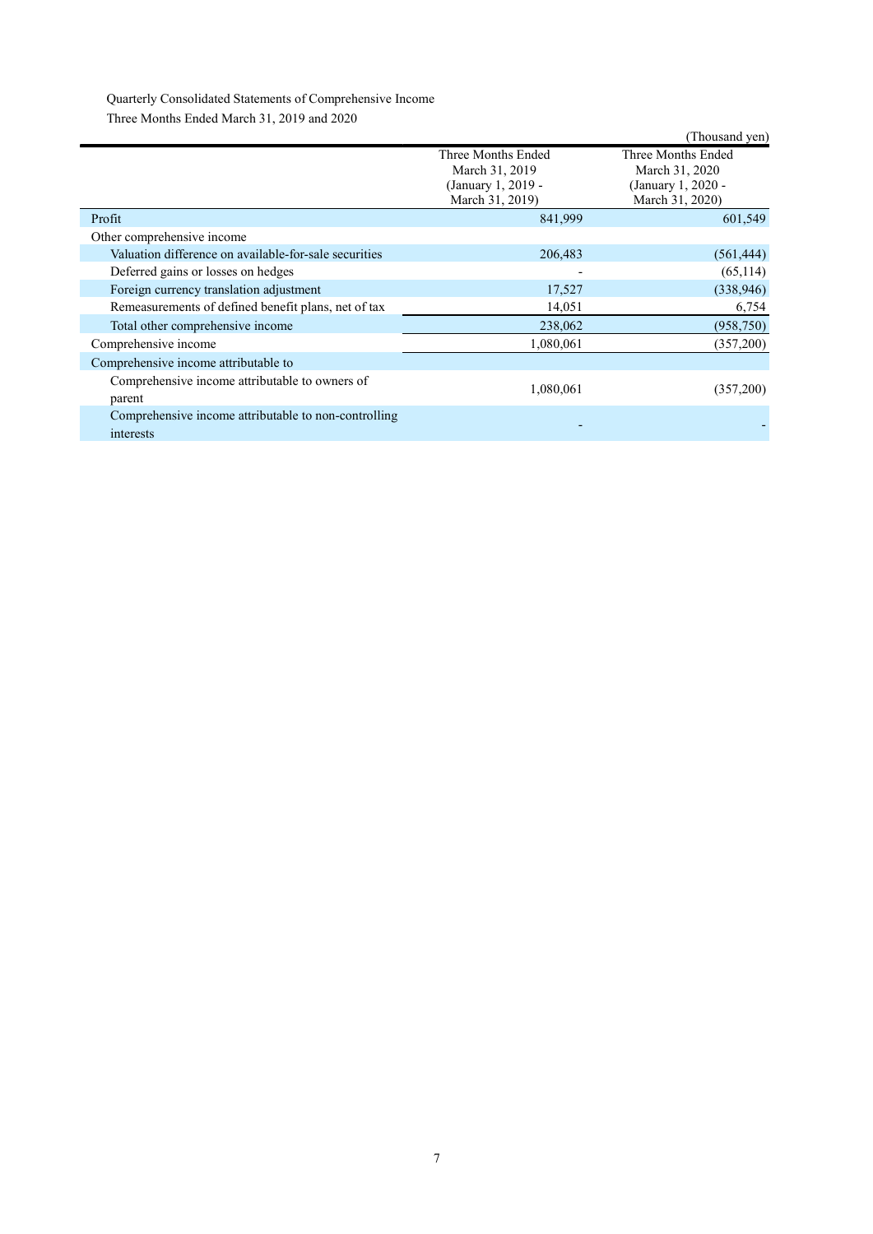Quarterly Consolidated Statements of Comprehensive Income Three Months Ended March 31, 2019 and 2020

|                                                                   |                                                                               | (Thousand yen)                                                                |
|-------------------------------------------------------------------|-------------------------------------------------------------------------------|-------------------------------------------------------------------------------|
|                                                                   | Three Months Ended<br>March 31, 2019<br>(January 1, 2019 -<br>March 31, 2019) | Three Months Ended<br>March 31, 2020<br>(January 1, 2020 -<br>March 31, 2020) |
| Profit                                                            | 841,999                                                                       | 601,549                                                                       |
| Other comprehensive income                                        |                                                                               |                                                                               |
| Valuation difference on available-for-sale securities             | 206,483                                                                       | (561, 444)                                                                    |
| Deferred gains or losses on hedges                                |                                                                               | (65, 114)                                                                     |
| Foreign currency translation adjustment                           | 17,527                                                                        | (338,946)                                                                     |
| Remeasurements of defined benefit plans, net of tax               | 14,051                                                                        | 6,754                                                                         |
| Total other comprehensive income                                  | 238,062                                                                       | (958, 750)                                                                    |
| Comprehensive income                                              | 1,080,061                                                                     | (357,200)                                                                     |
| Comprehensive income attributable to                              |                                                                               |                                                                               |
| Comprehensive income attributable to owners of<br>parent          | 1,080,061                                                                     | (357,200)                                                                     |
| Comprehensive income attributable to non-controlling<br>interests |                                                                               |                                                                               |